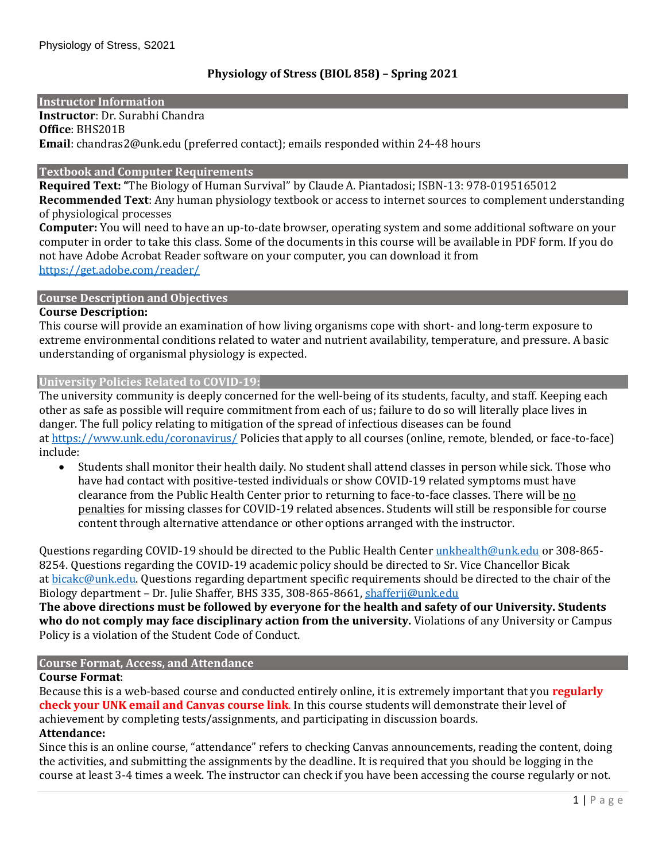#### **Instructor Information**

**Instructor**: Dr. Surabhi Chandra

**Office**: BHS201B **Email**: chandras2@unk.edu (preferred contact); emails responded within 24-48 hours

## **Textbook and Computer Requirements**

**Required Text: "**The Biology of Human Survival" by Claude A. Piantadosi; ISBN-13: 978-0195165012 **Recommended Text**: Any human physiology textbook or access to internet sources to complement understanding of physiological processes

**Computer:** You will need to have an up-to-date browser, operating system and some additional software on your computer in order to take this class. Some of the documents in this course will be available in PDF form. If you do not have Adobe Acrobat Reader software on your computer, you can download it from <https://get.adobe.com/reader/>

## **Course Description and Objectives**

## **Course Description:**

This course will provide an examination of how living organisms cope with short- and long-term exposure to extreme environmental conditions related to water and nutrient availability, temperature, and pressure. A basic understanding of organismal physiology is expected.

#### **University Policies Related to COVID-19:**

The university community is deeply concerned for the well-being of its students, faculty, and staff. Keeping each other as safe as possible will require commitment from each of us; failure to do so will literally place lives in danger. The full policy relating to mitigation of the spread of infectious diseases can be found at <https://www.unk.edu/coronavirus/> Policies that apply to all courses (online, remote, blended, or face-to-face) include:

• Students shall monitor their health daily. No student shall attend classes in person while sick. Those who have had contact with positive-tested individuals or show COVID-19 related symptoms must have clearance from the Public Health Center prior to returning to face-to-face classes. There will be no penalties for missing classes for COVID-19 related absences. Students will still be responsible for course content through alternative attendance or other options arranged with the instructor.

Questions regarding COVID-19 should be directed to the Public Health Center [unkhealth@unk.edu](mailto:unkhealth@unk.edu) or 308-865-8254. Questions regarding the COVID-19 academic policy should be directed to Sr. Vice Chancellor Bicak at [bicakc@unk.edu.](mailto:bicakc@unk.edu) Questions regarding department specific requirements should be directed to the chair of the Biology department – Dr. Julie Shaffer, BHS 335, 308-865-8661[, shafferjj@unk.edu](mailto:shafferjj@unk.edu)

**The above directions must be followed by everyone for the health and safety of our University. Students who do not comply may face disciplinary action from the university.** Violations of any University or Campus Policy is a violation of the Student Code of Conduct.

# **Course Format, Access, and Attendance**

## **Course Format**:

Because this is a web-based course and conducted entirely online, it is extremely important that you **regularly check your UNK email and Canvas course link**. In this course students will demonstrate their level of achievement by completing tests/assignments, and participating in discussion boards.

## **Attendance:**

Since this is an online course, "attendance" refers to checking Canvas announcements, reading the content, doing the activities, and submitting the assignments by the deadline. It is required that you should be logging in the course at least 3-4 times a week. The instructor can check if you have been accessing the course regularly or not.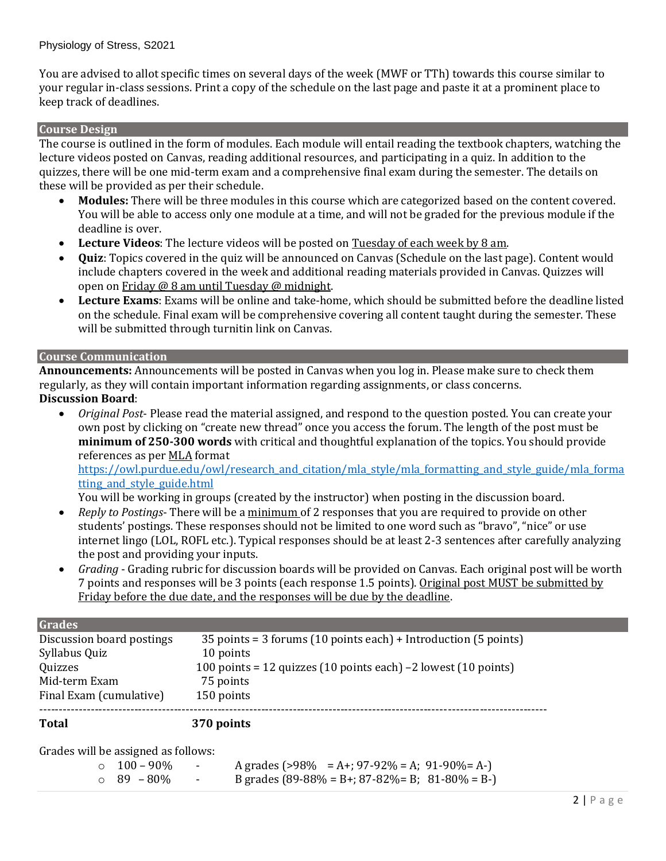You are advised to allot specific times on several days of the week (MWF or TTh) towards this course similar to your regular in-class sessions. Print a copy of the schedule on the last page and paste it at a prominent place to keep track of deadlines.

#### **Course Design**

The course is outlined in the form of modules. Each module will entail reading the textbook chapters, watching the lecture videos posted on Canvas, reading additional resources, and participating in a quiz. In addition to the quizzes, there will be one mid-term exam and a comprehensive final exam during the semester. The details on these will be provided as per their schedule.

- **Modules:** There will be three modules in this course which are categorized based on the content covered. You will be able to access only one module at a time, and will not be graded for the previous module if the deadline is over.
- **Lecture Videos**: The lecture videos will be posted on Tuesday of each week by 8 am.
- **Quiz**: Topics covered in the quiz will be announced on Canvas (Schedule on the last page). Content would include chapters covered in the week and additional reading materials provided in Canvas. Quizzes will open on Friday @ 8 am until Tuesday @ midnight.
- **Lecture Exams**: Exams will be online and take-home, which should be submitted before the deadline listed on the schedule. Final exam will be comprehensive covering all content taught during the semester. These will be submitted through turnitin link on Canvas.

#### **Course Communication**

**Announcements:** Announcements will be posted in Canvas when you log in. Please make sure to check them regularly, as they will contain important information regarding assignments, or class concerns. **Discussion Board**:

• *Original Post*- Please read the material assigned, and respond to the question posted. You can create your own post by clicking on "create new thread" once you access the forum. The length of the post must be **minimum of 250-300 words** with critical and thoughtful explanation of the topics. You should provide references as per MLA format

https://owl.purdue.edu/owl/research\_and\_citation/mla\_style/mla\_formatting\_and\_style\_guide/mla\_forma tting and style guide.html

You will be working in groups (created by the instructor) when posting in the discussion board.

- *Reply to Postings* There will be a minimum of 2 responses that you are required to provide on other students' postings. These responses should not be limited to one word such as "bravo", "nice" or use internet lingo (LOL, ROFL etc.). Typical responses should be at least 2-3 sentences after carefully analyzing the post and providing your inputs.
- *Grading*  Grading rubric for discussion boards will be provided on Canvas. Each original post will be worth 7 points and responses will be 3 points (each response 1.5 points). Original post MUST be submitted by Friday before the due date, and the responses will be due by the deadline.

| <b>Grades</b>             |                                                                                    |
|---------------------------|------------------------------------------------------------------------------------|
| Discussion board postings | 35 points = 3 forums (10 points each) + Introduction (5 points)                    |
| Syllabus Quiz             | 10 points                                                                          |
| Quizzes                   | 100 points = 12 quizzes $(10 \text{ points each})$ –2 lowest $(10 \text{ points})$ |
| Mid-term Exam             | 75 points                                                                          |
| Final Exam (cumulative)   | 150 points                                                                         |
|                           |                                                                                    |

**Total 370 points**

Grades will be assigned as follows:

| $\circ$ 100 – 90% |   | A grades (>98% = A+; 97-92% = A; 91-90% = A-)   |
|-------------------|---|-------------------------------------------------|
| $\circ$ 89 – 80%  | - | B grades (89-88% = B+; 87-82% = B; 81-80% = B-) |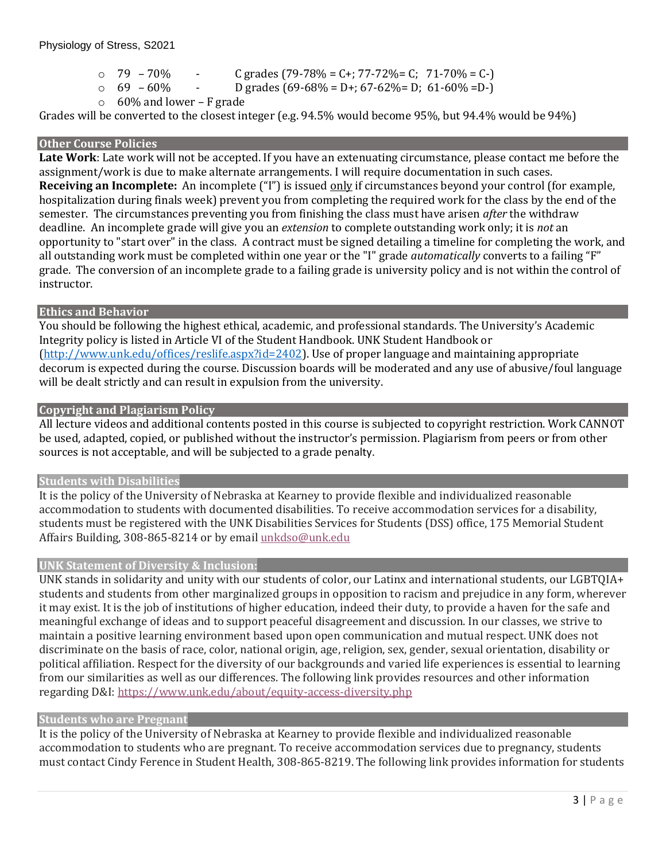```
\degree 79 – 70% - C grades (79-78% = C+; 77-72% = C; 71-70% = C-)
```

```
\circ 69 – 60% - D grades (69-68% = D+; 67-62% = D; 61-60% = D-)
```

```
\circ 60% and lower – F grade
```
Grades will be converted to the closest integer (e.g. 94.5% would become 95%, but 94.4% would be 94%)

# **Other Course Policies**

**Late Work**: Late work will not be accepted. If you have an extenuating circumstance, please contact me before the assignment/work is due to make alternate arrangements. I will require documentation in such cases. **Receiving an Incomplete:** An incomplete ("I") is issued only if circumstances beyond your control (for example, hospitalization during finals week) prevent you from completing the required work for the class by the end of the semester. The circumstances preventing you from finishing the class must have arisen *after* the withdraw deadline. An incomplete grade will give you an *extension* to complete outstanding work only; it is *not* an opportunity to "start over" in the class. A contract must be signed detailing a timeline for completing the work, and all outstanding work must be completed within one year or the "I" grade *automatically* converts to a failing "F" grade. The conversion of an incomplete grade to a failing grade is university policy and is not within the control of instructor.

# **Ethics and Behavior**

You should be following the highest ethical, academic, and professional standards. The University's Academic Integrity policy is listed in Article VI of the Student Handbook. UNK Student Handbook or [\(http://www.unk.edu/offices/reslife.aspx?id=2402\)](http://www.unk.edu/offices/reslife.aspx?id=2402). Use of proper language and maintaining appropriate decorum is expected during the course. Discussion boards will be moderated and any use of abusive/foul language will be dealt strictly and can result in expulsion from the university.

## **Copyright and Plagiarism Policy**

All lecture videos and additional contents posted in this course is subjected to copyright restriction. Work CANNOT be used, adapted, copied, or published without the instructor's permission. Plagiarism from peers or from other sources is not acceptable, and will be subjected to a grade penalty.

## **Students with Disabilities**

It is the policy of the University of Nebraska at Kearney to provide flexible and individualized reasonable accommodation to students with documented disabilities. To receive accommodation services for a disability, students must be registered with the UNK Disabilities Services for Students (DSS) office, 175 Memorial Student Affairs Building, 308-865-8214 or by email [unkdso@unk.edu](mailto:unkdso@unk.edu)

## **UNK Statement of Diversity & Inclusion:**

UNK stands in solidarity and unity with our students of color, our Latinx and international students, our LGBTQIA+ students and students from other marginalized groups in opposition to racism and prejudice in any form, wherever it may exist. It is the job of institutions of higher education, indeed their duty, to provide a haven for the safe and meaningful exchange of ideas and to support peaceful disagreement and discussion. In our classes, we strive to maintain a positive learning environment based upon open communication and mutual respect. UNK does not discriminate on the basis of race, color, national origin, age, religion, sex, gender, sexual orientation, disability or political affiliation. Respect for the diversity of our backgrounds and varied life experiences is essential to learning from our similarities as well as our differences. The following link provides resources and other information regarding D&I: <https://www.unk.edu/about/equity-access-diversity.php>

## **Students who are Pregnant**

It is the policy of the University of Nebraska at Kearney to provide flexible and individualized reasonable accommodation to students who are pregnant. To receive accommodation services due to pregnancy, students must contact Cindy Ference in Student Health, 308-865-8219. The following link provides information for students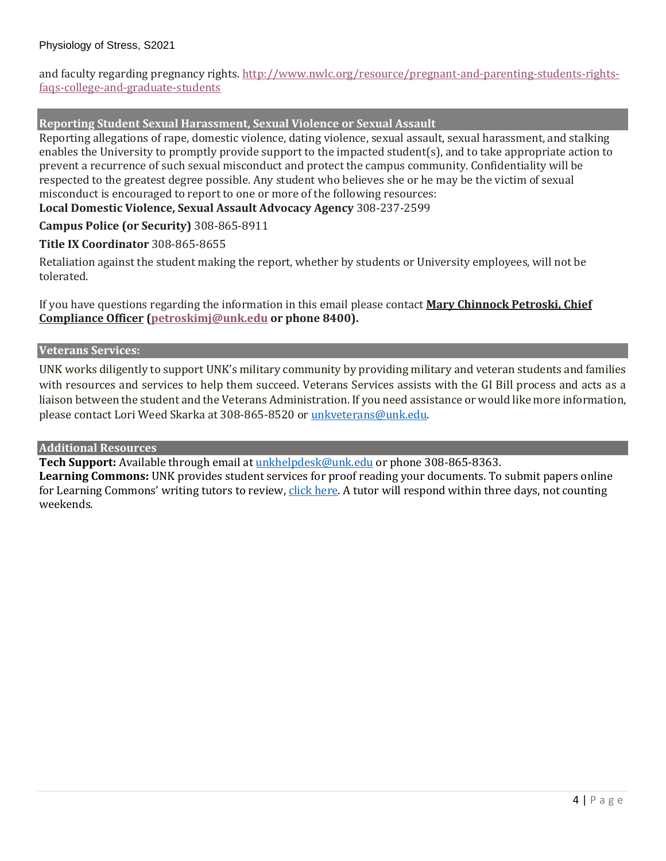and faculty regarding pregnancy rights. [http://www.nwlc.org/resource/pregnant-and-parenting-students-rights](https://urldefense.proofpoint.com/v2/url?u=http-3A__www.nwlc.org_resource_pregnant-2Dand-2Dparenting-2Dstudents-2Drights-2Dfaqs-2Dcollege-2Dand-2Dgraduate-2Dstudents&d=DwMFAg&c=Cu5g146wZdoqVuKpTNsYHeFX_rg6kWhlkLF8Eft-wwo&r=BJkIhAaMtWY7PlqIhIOyVw&m=RgBL3s2VNHfvD5ReMK2q_PhwYU8dbEt1vxs1BO4WkpQ&s=MmB91XAzaW-E7UPMXPGx9tWJQbTWJYyYzM8gLjhEzQ0&e=)[faqs-college-and-graduate-students](https://urldefense.proofpoint.com/v2/url?u=http-3A__www.nwlc.org_resource_pregnant-2Dand-2Dparenting-2Dstudents-2Drights-2Dfaqs-2Dcollege-2Dand-2Dgraduate-2Dstudents&d=DwMFAg&c=Cu5g146wZdoqVuKpTNsYHeFX_rg6kWhlkLF8Eft-wwo&r=BJkIhAaMtWY7PlqIhIOyVw&m=RgBL3s2VNHfvD5ReMK2q_PhwYU8dbEt1vxs1BO4WkpQ&s=MmB91XAzaW-E7UPMXPGx9tWJQbTWJYyYzM8gLjhEzQ0&e=)

## **Reporting Student Sexual Harassment, Sexual Violence or Sexual Assault**

Reporting allegations of rape, domestic violence, dating violence, sexual assault, sexual harassment, and stalking enables the University to promptly provide support to the impacted student(s), and to take appropriate action to prevent a recurrence of such sexual misconduct and protect the campus community. Confidentiality will be respected to the greatest degree possible. Any student who believes she or he may be the victim of sexual misconduct is encouraged to report to one or more of the following resources:

**Local Domestic Violence, Sexual Assault Advocacy Agency** 308-237-2599

**Campus Police (or Security)** 308-865-8911

**Title IX Coordinator** 308-865-8655

Retaliation against the student making the report, whether by students or University employees, will not be tolerated.

If you have questions regarding the information in this email please contact **Mary Chinnock Petroski, Chief Compliance Officer [\(petroskimj@unk.edu](mailto:petroskimj@unk.edu) or phone 8400).**

#### **Veterans Services:**

UNK works diligently to support UNK's military community by providing military and veteran students and families with resources and services to help them succeed. Veterans Services assists with the GI Bill process and acts as a liaison between the student and the Veterans Administration. If you need assistance or would like more information, please contact Lori Weed Skarka at 308-865-8520 or [unkveterans@unk.edu.](mailto:unkveterans@unk.edu)

## **Additional Resources**

**Tech Support:** Available through email at [unkhelpdesk@unk.edu](mailto:unkhelpdesk@unk.edu) or phone 308-865-8363.

**Learning Commons:** UNK provides student services for proof reading your documents. To submit papers online for Learning Commons' writing tutors to review, [click here.](http://www.unk.edu/offices/learning_commons/writing-center/index.php) A tutor will respond within three days, not counting weekends.